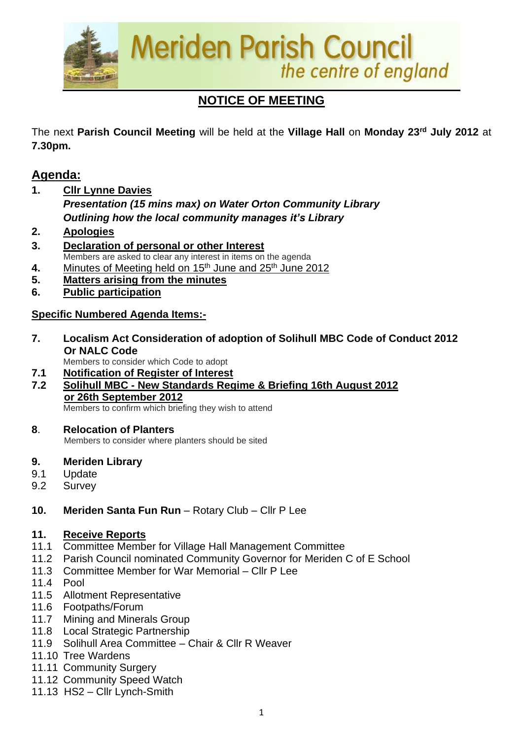

# **NOTICE OF MEETING**

The next **Parish Council Meeting** will be held at the **Village Hall** on **Monday 23rd July 2012** at **7.30pm.**

# **Agenda:**

**1. Cllr Lynne Davies**

*Presentation (15 mins max) on Water Orton Community Library Outlining how the local community manages it's Library*

- **2. Apologies**
- **3. Declaration of personal or other Interest** Members are asked to clear any interest in items on the agenda
- **4.** Minutes of Meeting held on 15<sup>th</sup> June and 25<sup>th</sup> June 2012
- **5. Matters arising from the minutes**
- **6. Public participation**

# **Specific Numbered Agenda Items:-**

- **7. Localism Act Consideration of adoption of Solihull MBC Code of Conduct 2012 Or NALC Code** 
	- Members to consider which Code to adopt
- **7.1 Notification of Register of Interest**
- **7.2 Solihull MBC - New Standards Regime & Briefing 16th August 2012 or 26th September 2012**

Members to confirm which briefing they wish to attend

# **8**. **Relocation of Planters**

Members to consider where planters should be sited

#### **9. Meriden Library**

- 9.1 Update
- 9.2 Survey
- **10. Meriden Santa Fun Run** Rotary Club Cllr P Lee

# **11. Receive Reports**

- 11.1 Committee Member for Village Hall Management Committee
- 11.2 Parish Council nominated Community Governor for Meriden C of E School
- 11.3 Committee Member for War Memorial Cllr P Lee
- 11.4 Pool
- 11.5 Allotment Representative
- 11.6 Footpaths/Forum
- 11.7 Mining and Minerals Group
- 11.8 Local Strategic Partnership
- 11.9 Solihull Area Committee Chair & Cllr R Weaver
- 11.10 Tree Wardens
- 11.11 Community Surgery
- 11.12 Community Speed Watch
- 11.13 HS2 Cllr Lynch-Smith